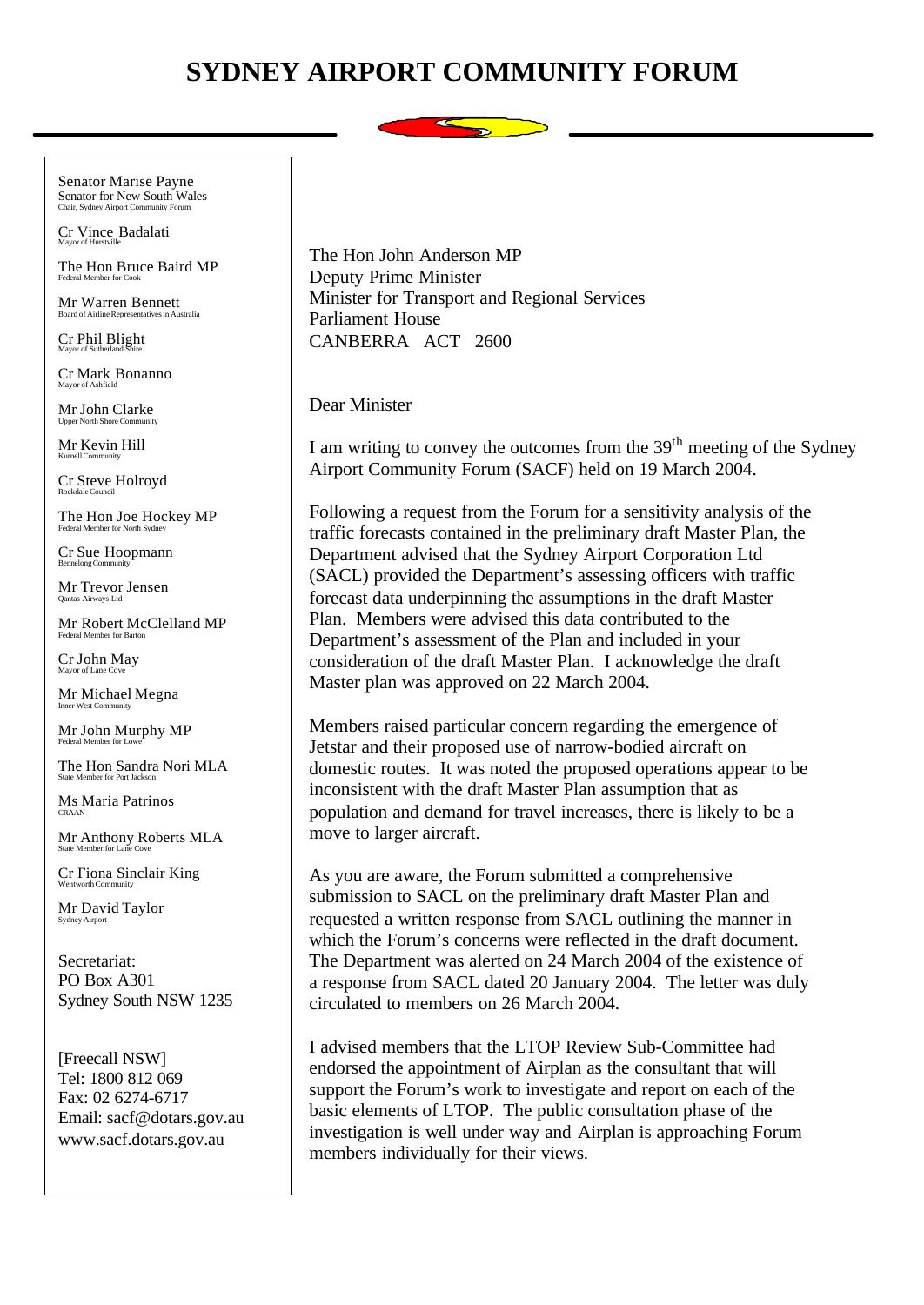## **SYDNEY AIRPORT COMMUNITY FORUM**



Senator Marise Payne Senator for New South Wales Chair, Sydney Airport Community Forum

Cr Vince Badalati Mayor of Hurstville

The Hon Bruce Baird MP Federal Member for Cook

Mr Warren Bennett Board of Airline Representatives in Australia

Cr Phil Blight Mayor of Sutherland Shire

Cr Mark Bonanno Mayor of Ashfield

Mr John Clarke Upper North Shore Community

Mr Kevin Hill Kurnell Community

Cr Steve Holroyd Rockdale Council

The Hon Joe Hockey MP Federal Member for North Syd

Cr Sue Hoopmann Bennelong Community

Mr Trevor Jensen Qantas Airways Ltd

Mr Robert McClelland MP Federal Member for Barton

Cr John May Mayor of Lane Cove

Mr Michael Megna Inner West Community

Mr John Murphy MP Federal Member for Lowe

The Hon Sandra Nori MLA

Ms Maria Patrinos CRAAN

Mr Anthony Roberts MLA State Member for Lane Cove

Cr Fiona Sinclair King Wentworth Community

Mr David Taylor Sydney Airpor

Secretariat: PO Box A301 Sydney South NSW 1235

[Freecall NSW] Tel: 1800 812 069 Fax: 02 6274-6717 Email: sacf@dotars.gov.au www.sacf.dotars.gov.au

The Hon John Anderson MP Deputy Prime Minister Minister for Transport and Regional Services Parliament House CANBERRA ACT 2600

Dear Minister

I am writing to convey the outcomes from the  $39<sup>th</sup>$  meeting of the Sydney Airport Community Forum (SACF) held on 19 March 2004.

Following a request from the Forum for a sensitivity analysis of the traffic forecasts contained in the preliminary draft Master Plan, the Department advised that the Sydney Airport Corporation Ltd (SACL) provided the Department's assessing officers with traffic forecast data underpinning the assumptions in the draft Master Plan. Members were advised this data contributed to the Department's assessment of the Plan and included in your consideration of the draft Master Plan. I acknowledge the draft Master plan was approved on 22 March 2004.

Members raised particular concern regarding the emergence of Jetstar and their proposed use of narrow-bodied aircraft on domestic routes. It was noted the proposed operations appear to be inconsistent with the draft Master Plan assumption that as population and demand for travel increases, there is likely to be a move to larger aircraft.

As you are aware, the Forum submitted a comprehensive submission to SACL on the preliminary draft Master Plan and requested a written response from SACL outlining the manner in which the Forum's concerns were reflected in the draft document. The Department was alerted on 24 March 2004 of the existence of a response from SACL dated 20 January 2004. The letter was duly circulated to members on 26 March 2004.

I advised members that the LTOP Review Sub-Committee had endorsed the appointment of Airplan as the consultant that will support the Forum's work to investigate and report on each of the basic elements of LTOP. The public consultation phase of the investigation is well under way and Airplan is approaching Forum members individually for their views.